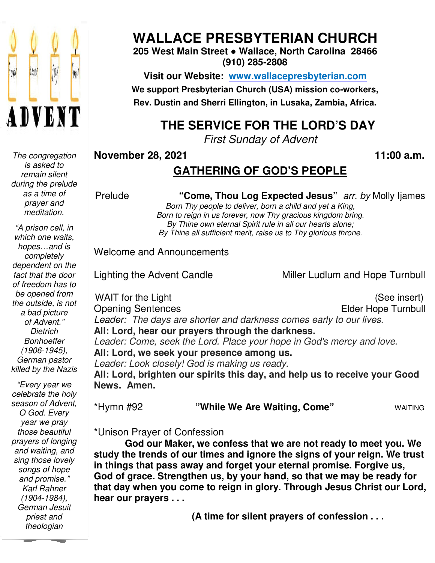

 *The congregation is asked to remain silent during the prelude as a time of prayer and meditation.* 

*"A prison cell, in which one waits, hopes…and is completely dependent on the fact that the door of freedom has to be opened from the outside, is not a bad picture of Advent." Dietrich Bonhoeffer (1906-1945), German pastor killed by the Nazis* 

 *Karl Rahner "Every year we celebrate the holy season of Advent, O God. Every year we pray those beautiful prayers of longing and waiting, and sing those lovely songs of hope and promise." (1904-1984), German Jesuit priest and theologian* 

# **WALLACE PRESBYTERIAN CHURCH**

### **205 West Main Street ● Wallace, North Carolina 28466 (910) 285-2808**

**Visit our Website: www.wallacepresbyterian.com We support Presbyterian Church (USA) mission Church co-workers, Rev. Dustin and Sherri Ellington, in Lusaka, Zambia, Africa. Sherri Ellington,** 

# **THE SERVICE FOR THE LORD'S DAY**

*First Sunday of Advent*

### **November 28, 2021**

**, 11:00 a.m**

# **GATHERING OF GOD'S PEOPLE**

Prelude **"Come, Thou Log Expected Jesus**" *arr. by* Molly Ijames Born Thy people to deliver, born a child and yet a King, Born to reign in us forever, now Thy gracious kingdom bring. By Thine own eternal Spirit rule in all our hearts alone; By Thine all sufficient merit, raise us to Thy glorious throne.

### Welcome and Announcements

Lighting the Advent Candle

Miller Ludlum and Hope Turnbull

WAIT for the Light Opening Sentences Leader: The days are shorter and darkness comes early to our lives. **All: Lord, hear our prayers through the darkness. hear** Leader: Come, seek the Lord. Place your hope in God's mercy and love. **All: Lord, we seek your presence among us. seek** Leader: Look closely! God is making us ready. **All: Lord, brighten our spirits this day, and help us to receive your Good us Come"** WAITING **News. Amen.** insert) insert) (See insert) Elder Hope Turnbull 11:00 a.m.<br> **the Samuel Convention:** Thy people to deliver, born a child and yet a King.<br>
This people to deliver, born a child and yet a King.<br>
This own etermal Spirit rule in all our hearts alone;<br>
This own etermal Spirit

\*Hymn #92 **"While We Are Waiting, Come**

\*Unison Prayer of Confession

God our Maker, we confess that we are not ready to meet you. We **study the trends of our times and ignore the signs of your reign. We trust in things that pass away and forget your eternal promise. Forgive us, God of grace. Strengthen us, by your hand, so that we may be ready for**  study the trends of our times and ignore the signs of your reign. We trust<br>in things that pass away and forget your eternal promise. Forgive us,<br>God of grace. Strengthen us, by your hand, so that we may be ready for<br>that d **hear our prayers . . .** 

 **(A time for silent prayers of confession . . .**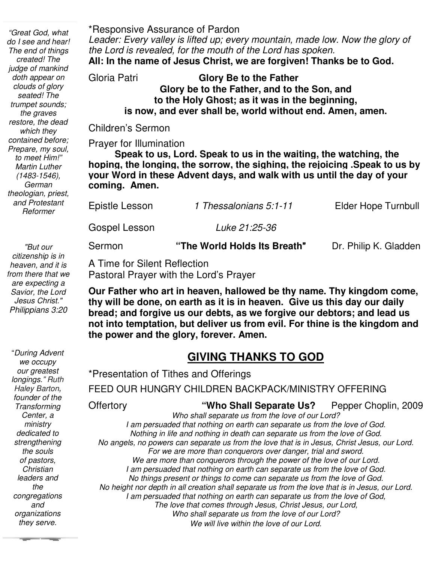\*Responsive Assurance of Pardon

*Leader: Every valley is lifted up; every mountain, made low. Now the glory of the Lord is revealed, for the mouth of the Lord has spoken.* 

**All: In the name of Jesus Christ, we are forgiven! Thanks be to God.** 

#### Gloria Patri **Glory Be to the Father Glory be to the Father, and to the Son, and to the Holy Ghost; as it was in the beginning, is now, and ever shall be, world without end. Amen, amen.**

Children's Sermon

Prayer for Illumination

 **hoping, the longing, the sorrow, the sighing, the rejoicing .Speak to us by Speak to us, Lord. Speak to us in the waiting, the watching, the your Word in these Advent days, and walk with us until the day of your coming. Amen.** 

**Elder Hope Turnbull** Epistle Lesson *1 Thessalonians 5:1-11* Elder Hope Turnbull

 Ī Gospel Lesson *Luke 21:25-36*

Sermon **"The World Holds Its Breath**" Dr. Philip K. Gladden

A Time for Silent Reflection Pastoral Prayer with the Lord's Prayer

**Our Father who art in heaven, hallowed be thy name. Thy kingdom come, thy will be done, on earth as it is in heaven. Give us this day our daily bread; and forgive us our debts, as we forgive our debtors; and lead us not into temptation, but deliver us from evil. For thine is the kingdom and the power and the glory, forever. Amen.**

# **GIVING THANKS TO GOD**

\*Presentation of Tithes and Offerings FEED OUR HUNGRY CHILDREN BACKPACK/MINISTRY OFFERING Offertory **"Who Shall Separate Us?** Pepper Choplin, 2009 *Who shall separate us from the love of our Lord? I am persuaded that nothing on earth can separate us from the love of God. Nothing in life and nothing in death can separate us from the love of God. No angels, no powers can separate us from the love that is in Jesus, Christ Jesus, our Lord. For we are more than conquerors over danger, trial and sword. We are more than conquerors through the power of the love of our Lord. I am persuaded that nothing on earth can separate us from the love of God. No things present or things to come can separate us from the love of God. No height nor depth in all creation shall separate us from the love that is in Jesus, our Lord. I am persuaded that nothing on earth can separate us from the love of God, The love that comes through Jesus, Christ Jesus, our Lord, Who shall separate us from the love of our Lord? We will live within the love of our Lord.*

 *to meet Him!" "Great God, what do I see and hear! The end of things created! The judge of mankind doth appear on clouds of glory seated! The trumpet sounds; the graves restore, the dead which they contained before; Prepare, my soul, Martin Luther (1483-1546), German theologian, priest, and Protestant Reformer* 

 *from there that we "But our citizenship is in heaven, and it is are expecting a Savior, the Lord Jesus Christ." Philippians 3:20*

"*During Advent we occupy our greatest longings." Ruth Haley Barton***,**  *founder of the Transforming Center, a ministry dedicated to strengthening the souls of pastors, Christian leaders and the congregations and organizations they serve.*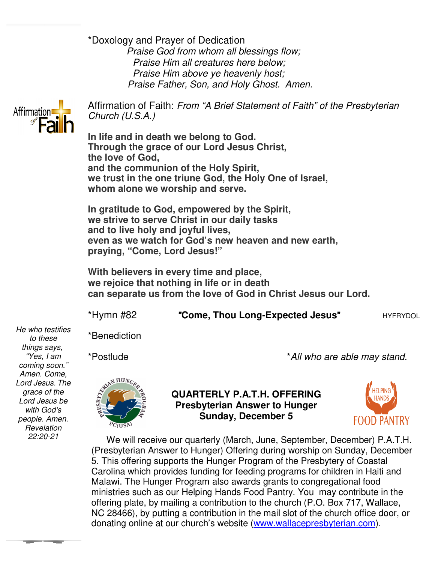\*Doxology and Prayer of Dedication *Praise God from whom all blessings flow; Praise Him all creatures here below; Praise Him above ye heavenly host; Praise Father, Son, and Holy Ghost. Amen.* Praise God from whom all blessings flow;<br> *Fraise Him all creatures here below;*<br> *Praise Him above ye heavenly host;*<br> *Praise Father, Son, and Holy Ghost. Amen.*<br> **Affirmation of Faith:** *From "A Brief Statement of Faith"* 



*Church (U.S.A.)* 

**In life and in death we belong to God. Through the grace of our Lord Jesus Christ, the love of God, and the communion of the Holy Spirit,** In life and in death we belong to God.<br>Through the grace of our Lord Jesus Christ,<br>the love of God,<br>and the communion of the Holy Spirit,<br>we trust in the one triune God, the Holy One of Israel, **whom alone we worship and serve.**

**In gratitude to God, empowered by the Spirit, we strive to serve Christ in our daily tasks and to live holy and joyful lives, even as we watch for God's new heaven and new earth, praying, "Come, Lord Jesus!"** In gratitude to God, empowered by the Spirit,<br>we strive to serve Christ in our daily tasks<br>and to live holy and joyful lives,<br>even as we watch for God's new heaven and new earth,<br>praying, "Come, Lord Jesus!"<br>With believers

**With believers in every time and place, we rejoice that nothing in life or in death can separate us from the love of God in Christ Jesus our Lord**

\*Hymn #82 "**Come, Thou Long Long-Expected Jesus**"HYFRYDOL

\*Benediction

\*Postlude

\**All who are able may stand. who* 



**QUARTERLY P.A.T.H. OFFERING Presbyterian Answer to Hunger Presbyterian Sunday, December 5** 



 We will receive our quarterly (March, June, September, December) P.A.T.H. (Presbyterian Answer to Hunger) Offering during worship on Sunday, December 5. This offering supports the Hunger Program of the Presbytery of Coastal Carolina which provides funding for feeding programs for children in Haiti and Malawi. The Hunger Program also awards grants to congregational food ministries such as our Helping Hands Food Pantry. You may contribute in the offering plate, by mailing a contribution to the church (P.O. Box 717, Wallace, NC 28466), by putting a contribution in the mail slot of the church office door, or NC 28466), by putting a contribution in the mail slot of the church office o<br>donating online at our church's website (<u>www.wallacepresbyterian.com</u>). We will receive our quarterly (March, June, September, December) P.A.T.<br>resbyterian Answer to Hunger) Offering during worship on Sunday, Decemb<br>This offering supports the Hunger Program of the Presbytery of Coastal<br>rrolina We will receive our quarterly (March, June, September, December) P.A.T.H.<br>sbyterian Answer to Hunger) Offering during worship on Sunday, December<br>his offering supports the Hunger Program of the Presbytery of Coastal<br>olina

*He who testifies to these things says, "Yes, I am coming soon." Amen. Come, Lord Jesus. The grace of the Lord Jesus be with God's people. Amen. Revelation 22:20-21*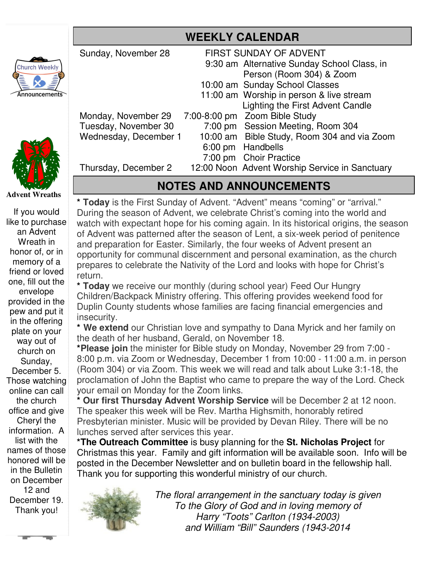|                      | Sunday, November 28   | <b>FIRST SUNDAY OF ADVENT</b> |                                                |
|----------------------|-----------------------|-------------------------------|------------------------------------------------|
|                      |                       |                               | 9:30 am Alternative Sunday School Class, in    |
|                      |                       |                               | Person (Room 304) & Zoom                       |
|                      |                       |                               | 10:00 am Sunday School Classes                 |
| $\tilde{\mathbf{f}}$ |                       |                               | 11:00 am Worship in person & live stream       |
|                      |                       |                               | Lighting the First Advent Candle               |
|                      | Monday, November 29   |                               | 7:00-8:00 pm Zoom Bible Study                  |
|                      | Tuesday, November 30  |                               | 7:00 pm Session Meeting, Room 304              |
|                      | Wednesday, December 1 |                               | 10:00 am Bible Study, Room 304 and via Zoom    |
|                      |                       | $6:00 \text{ pm}$             | Handbells                                      |
|                      |                       |                               | 7:00 pm Choir Practice                         |
|                      | Thursday, December 2  |                               | 12:00 Noon Advent Worship Service in Sanctuary |
|                      |                       |                               |                                                |

## **NOTES AND ANNOUNCEMENTS**

**\* Today** is the First Sunday of Advent. "Advent" means "coming" or "arrival." During the season of Advent, we celebrate Christ's coming into the world and watch with expectant hope for his coming again. In its historical origins, the season of Advent was patterned after the season of Lent, a six-week period of penitence and preparation for Easter. Similarly, the four weeks of Advent present an opportunity for communal discernment and personal examination, as the church prepares to celebrate the Nativity of the Lord and looks with hope for Christ's return.

**\* Today** we receive our monthly (during school year) Feed Our Hungry Children/Backpack Ministry offering. This offering provides weekend food for Duplin County students whose families are facing financial emergencies and insecurity.

**\* We extend** our Christian love and sympathy to Dana Myrick and her family on the death of her husband, Gerald, on November 18.

**\*Please join** the minister for Bible study on Monday, November 29 from 7:00 - 8:00 p.m. via Zoom or Wednesday, December 1 from 10:00 - 11:00 a.m. in person (Room 304) or via Zoom. This week we will read and talk about Luke 3:1-18, the proclamation of John the Baptist who came to prepare the way of the Lord. Check your email on Monday for the Zoom links.

**\* Our first Thursday Advent Worship Service** will be December 2 at 12 noon. The speaker this week will be Rev. Martha Highsmith, honorably retired Presbyterian minister. Music will be provided by Devan Riley. There will be no lunches served after services this year.

**\*The Outreach Committee** is busy planning for the **St. Nicholas Project** for Christmas this year. Family and gift information will be available soon. Info will be posted in the December Newsletter and on bulletin board in the fellowship hall. Thank you for supporting this wonderful ministry of our church.



 *The floral arrangement in the sanctuary today is given To the Glory of God and in loving memory of Harry "Toots" Carlton (1934-2003) and William "Bill" Saunders (1943-2014*



**Church Weekly** 

Announcement

If you would like to purchase an Advent Wreath in honor of, or in memory of a friend or loved one, fill out the envelope provided in the pew and put it in the offering plate on your way out of church on Sunday, December 5. Those watching online can call the church office and give Cheryl the information. A list with the names of those honored will be in the Bulletin on December 12 and December 19. Thank you!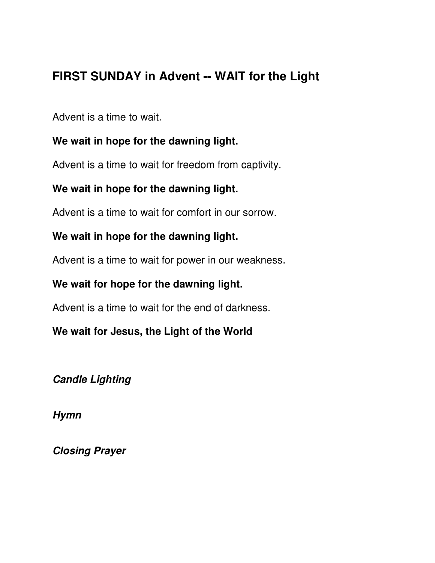## **FIRST SUNDAY in Advent -- WAIT for the Light**

Advent is a time to wait.

### **We wait in hope for the dawning light.**

Advent is a time to wait for freedom from captivity.

## **We wait in hope for the dawning light.**

Advent is a time to wait for comfort in our sorrow.

## **We wait in hope for the dawning light.**

Advent is a time to wait for power in our weakness.

## **We wait for hope for the dawning light.**

Advent is a time to wait for the end of darkness.

## **We wait for Jesus, the Light of the World**

**Candle Lighting** 

**Hymn** 

**Closing Prayer**